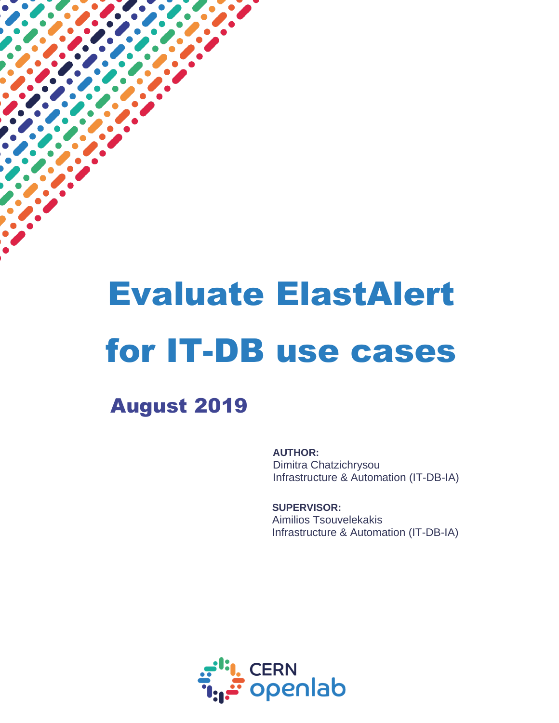# Evaluate ElastAlert for IT-DB use cases

August 2019

 $\overline{a}$ 

**AUTHOR:** Dimitra Chatzichrysou Infrastructure & Automation (IT-DB-IA)

**SUPERVISOR:** Aimilios Tsouvelekakis Infrastructure & Automation (IT-DB-IA)

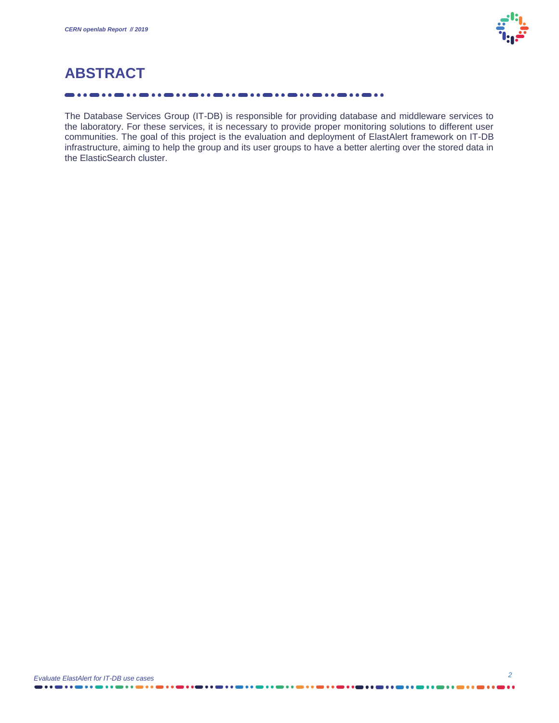

## **ABSTRACT**

#### . . . . . . . . . . . .

The Database Services Group (IT-DB) is responsible for providing database and middleware services to the laboratory. For these services, it is necessary to provide proper monitoring solutions to different user communities. The goal of this project is the evaluation and deployment of ElastAlert framework on IT-DB infrastructure, aiming to help the group and its user groups to have a better alerting over the stored data in the ElasticSearch cluster.

. . . . . .

. . . . . . .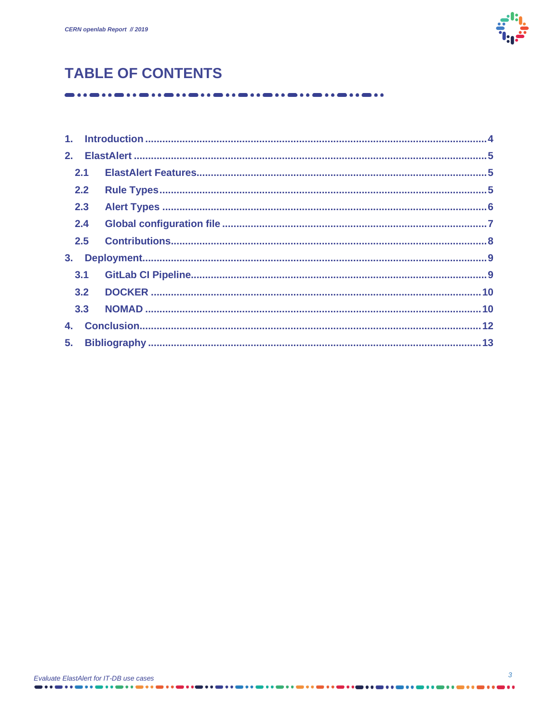

# **TABLE OF CONTENTS**

|    | 2.2 |  |
|----|-----|--|
|    | 2.3 |  |
|    | 2.4 |  |
|    | 2.5 |  |
| 3. |     |  |
|    |     |  |
|    |     |  |
|    |     |  |
|    |     |  |
|    |     |  |
|    |     |  |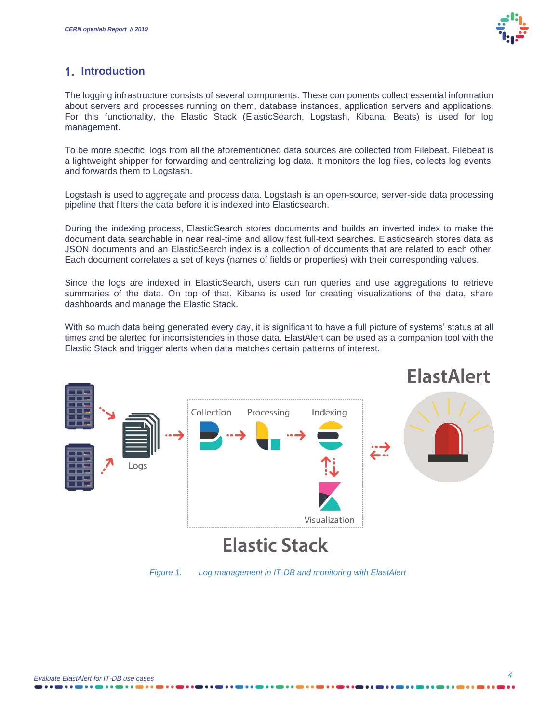

## <span id="page-3-0"></span>**Introduction**

The logging infrastructure consists of several components. These components collect essential information about servers and processes running on them, database instances, application servers and applications. For this functionality, the Elastic Stack (ElasticSearch, Logstash, Kibana, Beats) is used for log management.

To be more specific, logs from all the aforementioned data sources are collected from Filebeat. Filebeat is a lightweight shipper for forwarding and centralizing log data. It monitors the log files, collects log events, and forwards them to Logstash.

Logstash is used to aggregate and process data. Logstash is an open-source, server-side data processing pipeline that filters the data before it is indexed into Elasticsearch.

During the indexing process, ElasticSearch stores documents and builds an inverted index to make the document data searchable in near real-time and allow fast full-text searches. Elasticsearch stores data as JSON documents and an ElasticSearch index is a collection of documents that are related to each other. Each document correlates a set of keys (names of fields or properties) with their corresponding values.

Since the logs are indexed in ElasticSearch, users can run queries and use aggregations to retrieve summaries of the data. On top of that, Kibana is used for creating visualizations of the data, share dashboards and manage the Elastic Stack.

With so much data being generated every day, it is significant to have a full picture of systems' status at all times and be alerted for inconsistencies in those data. ElastAlert can be used as a companion tool with the Elastic Stack and trigger alerts when data matches certain patterns of interest.



*Figure 1. Log management in IT-DB and monitoring with ElastAlert*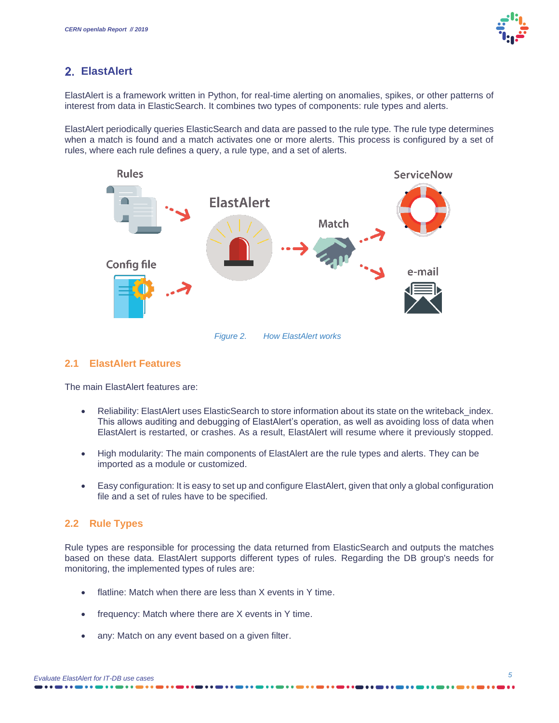## <span id="page-4-0"></span>**ElastAlert**

ElastAlert is a framework written in Python, for real-time alerting on anomalies, spikes, or other patterns of interest from data in ElasticSearch. It combines two types of components: rule types and alerts.

ElastAlert periodically queries ElasticSearch and data are passed to the rule type. The rule type determines when a match is found and a match activates one or more alerts. This process is configured by a set of rules, where each rule defines a query, a rule type, and a set of alerts.



*Figure 2. How ElastAlert works*

## <span id="page-4-1"></span>**2.1 ElastAlert Features**

The main ElastAlert features are:

- Reliability: ElastAlert uses ElasticSearch to store information about its state on the writeback index. This allows auditing and debugging of ElastAlert's operation, as well as avoiding loss of data when ElastAlert is restarted, or crashes. As a result, ElastAlert will resume where it previously stopped.
- High modularity: The main components of ElastAlert are the rule types and alerts. They can be imported as a module or customized.
- Easy configuration: It is easy to set up and configure ElastAlert, given that only a global configuration file and a set of rules have to be specified.

## <span id="page-4-2"></span>**2.2 Rule Types**

Rule types are responsible for processing the data returned from ElasticSearch and outputs the matches based on these data. ElastAlert supports different types of rules. Regarding the DB group's needs for monitoring, the implemented types of rules are:

- flatline: Match when there are less than X events in Y time.
- frequency: Match where there are X events in Y time.
- any: Match on any event based on a given filter.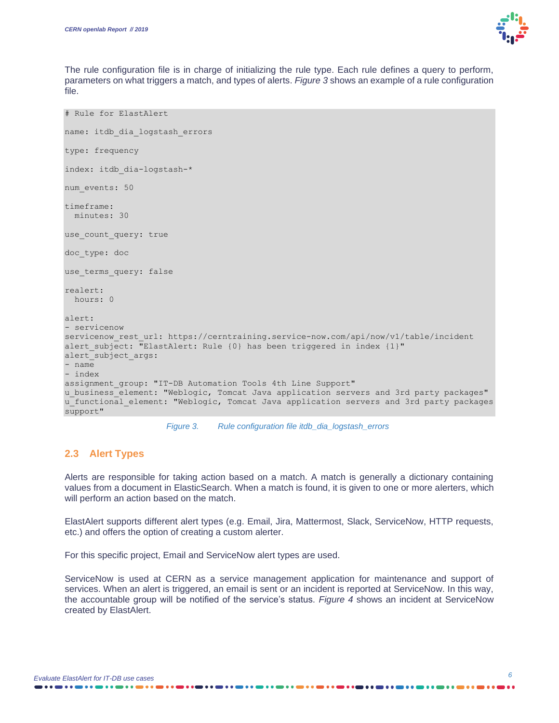

The rule configuration file is in charge of initializing the rule type. Each rule defines a query to perform, parameters on what triggers a match, and types of alerts. *Figure 3* shows an example of a rule configuration file.

```
# Rule for ElastAlert
name: itdb dia logstash errors
type: frequency
index: itdb_dia-logstash-*
num_events: 50
timeframe:
  minutes: 30
use count query: true
doc_type: doc
use_terms_query: false
realert:
  hours: 0
alert:
- servicenow
servicenow rest url: https://cerntraining.service-now.com/api/now/v1/table/incident
alert subject: \overline{u}ElastAlert: Rule {0} has been triggered in index {1}"
alert subject args:
- name
- index
assignment group: "IT-DB Automation Tools 4th Line Support"
u business element: "Weblogic, Tomcat Java application servers and 3rd party packages"
u functional element: "Weblogic, Tomcat Java application servers and 3rd party packages
support"
```


#### <span id="page-5-0"></span>**2.3 Alert Types**

Alerts are responsible for taking action based on a match. A match is generally a dictionary containing values from a document in ElasticSearch. When a match is found, it is given to one or more alerters, which will perform an action based on the match.

ElastAlert supports different alert types (e.g. Email, Jira, Mattermost, Slack, ServiceNow, HTTP requests, etc.) and offers the option of creating a custom alerter.

For this specific project, Email and ServiceNow alert types are used.

ServiceNow is used at CERN as a service management application for maintenance and support of services. When an alert is triggered, an email is sent or an incident is reported at ServiceNow. In this way, the accountable group will be notified of the service's status. *Figure 4* shows an incident at ServiceNow created by ElastAlert.

. . . **. . . . . . .** . . 4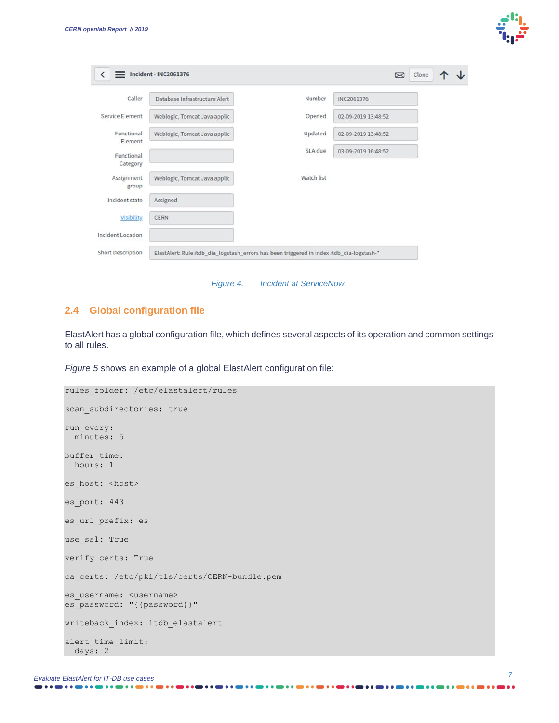

| Caller                   | Database Infrastructure Alert | Number     | INC2061376          |  |
|--------------------------|-------------------------------|------------|---------------------|--|
| Service Element          | Weblogic, Tomcat Java applic  | Opened     | 02-09-2019 13:48:52 |  |
| Functional<br>Element    | Weblogic, Tomcat Java applic  | Updated    | 02-09-2019 13:48:52 |  |
| Functional<br>Category   |                               | SLA due    | 03-09-2019 16:48:52 |  |
| Assignment<br>group      | Weblogic, Tomcat Java applic  | Watch list |                     |  |
| Incident state           | Assigned                      |            |                     |  |
| <b>Visibility</b>        | <b>CERN</b>                   |            |                     |  |
| <b>Incident Location</b> |                               |            |                     |  |

*Figure 4. Incident at ServiceNow*

#### <span id="page-6-0"></span>**2.4 Global configuration file**

ElastAlert has a global configuration file, which defines several aspects of its operation and common settings to all rules.

*Figure 5* shows an example of a global ElastAlert configuration file:

```
rules_folder: /etc/elastalert/rules
scan subdirectories: true
run_every:
  minutes: 5
buffer time:
  hours: 1
es host: <host>
es_port: 443
es url prefix: es
use ssl: True
verify_certs: True
ca_certs: /etc/pki/tls/certs/CERN-bundle.pem
es username: <username>
es_password: "{{password}}"
writeback index: itdb elastalert
alert_time_limit:
 days: 2
```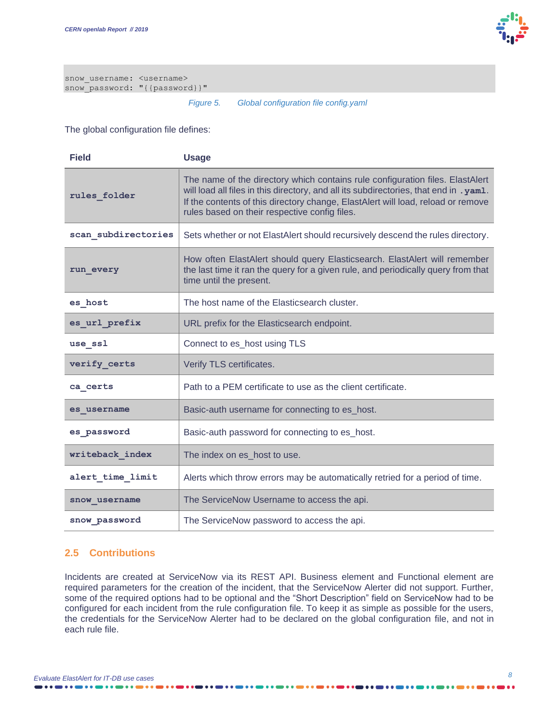

snow\_username: <username> snow\_password: "{{password}}"

#### *Figure 5. Global configuration file config.yaml*

The global configuration file defines:

| <b>Field</b>        | <b>Usage</b>                                                                                                                                                                                                                                                                                                 |  |
|---------------------|--------------------------------------------------------------------------------------------------------------------------------------------------------------------------------------------------------------------------------------------------------------------------------------------------------------|--|
| rules folder        | The name of the directory which contains rule configuration files. ElastAlert<br>will load all files in this directory, and all its subdirectories, that end in . yam1.<br>If the contents of this directory change, ElastAlert will load, reload or remove<br>rules based on their respective config files. |  |
| scan subdirectories | Sets whether or not ElastAlert should recursively descend the rules directory.                                                                                                                                                                                                                               |  |
| run every           | How often ElastAlert should query Elasticsearch. ElastAlert will remember<br>the last time it ran the query for a given rule, and periodically query from that<br>time until the present.                                                                                                                    |  |
| es host             | The host name of the Elasticsearch cluster.                                                                                                                                                                                                                                                                  |  |
| es_url_prefix       | URL prefix for the Elasticsearch endpoint.                                                                                                                                                                                                                                                                   |  |
| use_ssl             | Connect to es_host using TLS                                                                                                                                                                                                                                                                                 |  |
| verify_certs        | Verify TLS certificates.                                                                                                                                                                                                                                                                                     |  |
| ca certs            | Path to a PEM certificate to use as the client certificate.                                                                                                                                                                                                                                                  |  |
| es username         | Basic-auth username for connecting to es_host.                                                                                                                                                                                                                                                               |  |
| es password         | Basic-auth password for connecting to es_host.                                                                                                                                                                                                                                                               |  |
| writeback index     | The index on es_host to use.                                                                                                                                                                                                                                                                                 |  |
| alert time limit    | Alerts which throw errors may be automatically retried for a period of time.                                                                                                                                                                                                                                 |  |
| snow username       | The ServiceNow Username to access the api.                                                                                                                                                                                                                                                                   |  |
| snow password       | The ServiceNow password to access the api.                                                                                                                                                                                                                                                                   |  |

## <span id="page-7-0"></span>**2.5 Contributions**

Incidents are created at ServiceNow via its REST API. Business element and Functional element are required parameters for the creation of the incident, that the ServiceNow Alerter did not support. Further, some of the required options had to be optional and the "Short Description" field on ServiceNow had to be configured for each incident from the rule configuration file. To keep it as simple as possible for the users, the credentials for the ServiceNow Alerter had to be declared on the global configuration file, and not in each rule file.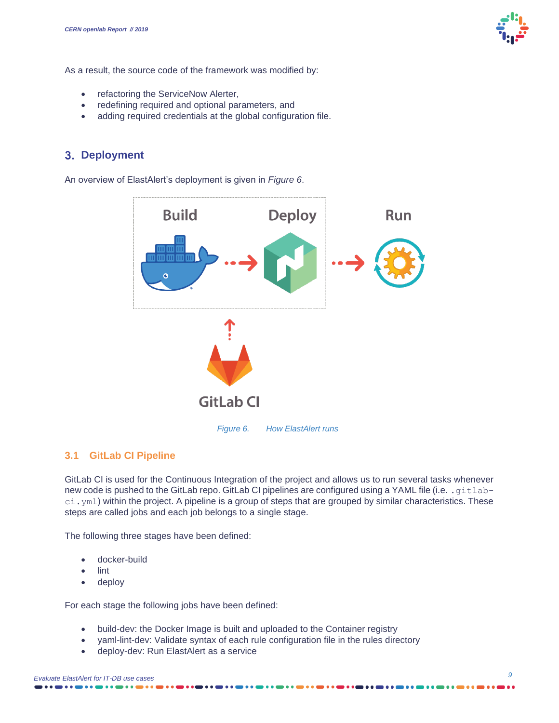

As a result, the source code of the framework was modified by:

- refactoring the ServiceNow Alerter,
- redefining required and optional parameters, and
- adding required credentials at the global configuration file.

## <span id="page-8-0"></span>**Deployment**

An overview of ElastAlert's deployment is given in *Figure 6*.



## <span id="page-8-1"></span>**3.1 GitLab CI Pipeline**

GitLab CI is used for the Continuous Integration of the project and allows us to run several tasks whenever new code is pushed to the GitLab repo. GitLab CI pipelines are configured using a YAML file (i.e. . gitlabci.yml) within the project. A pipeline is a group of steps that are grouped by similar characteristics. These steps are called jobs and each job belongs to a single stage.

The following three stages have been defined:

- docker-build
- lint
- deploy

For each stage the following jobs have been defined:

- build-dev: the Docker Image is built and uploaded to the Container registry
- yaml-lint-dev: Validate syntax of each rule configuration file in the rules directory
- deploy-dev: Run ElastAlert as a service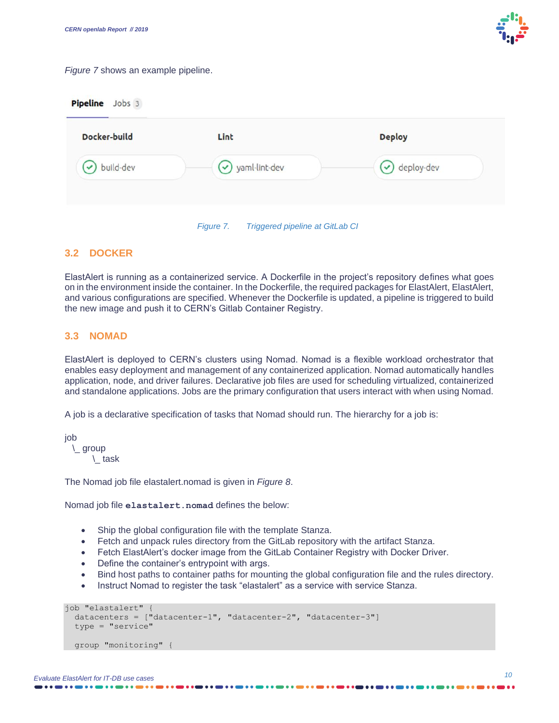

#### *Figure 7* shows an example pipeline.

**Pipeline** Jobs 3

| Docker-build | Lint            | <b>Deploy</b>         |
|--------------|-----------------|-----------------------|
| build-dev    | v yaml-lint-dev | $\bigcirc$ deploy-dev |
|              |                 |                       |

## <span id="page-9-0"></span>**3.2 DOCKER**

ElastAlert is running as a containerized service. A Dockerfile in the project's repository defines what goes on in the environment inside the container. In the Dockerfile, the required packages for ElastAlert, ElastAlert, and various configurations are specified. Whenever the Dockerfile is updated, a pipeline is triggered to build the new image and push it to CERN's Gitlab Container Registry.

## <span id="page-9-1"></span>**3.3 NOMAD**

ElastAlert is deployed to CERN's clusters using Nomad. Nomad is a flexible workload orchestrator that enables easy deployment and management of any containerized application. Nomad automatically handles application, node, and driver failures. Declarative job files are used for scheduling virtualized, containerized and standalone applications. Jobs are the primary configuration that users interact with when using Nomad.

A job is a declarative specification of tasks that Nomad should run. The hierarchy for a job is:

job

\\_ group

\\_ task

The Nomad job file elastalert.nomad is given in *Figure 8*.

Nomad job file **elastalert.nomad** defines the below:

- Ship the global configuration file with the template Stanza.
- Fetch and unpack rules directory from the GitLab repository with the artifact Stanza.
- Fetch ElastAlert's docker image from the GitLab Container Registry with Docker Driver.
- Define the container's entrypoint with args.
- Bind host paths to container paths for mounting the global configuration file and the rules directory.
- Instruct Nomad to register the task "elastalert" as a service with service Stanza.

```
job "elastalert" {
   datacenters = ["datacenter-1", "datacenter-2", "datacenter-3"]
   type = "service"
   group "monitoring" {
```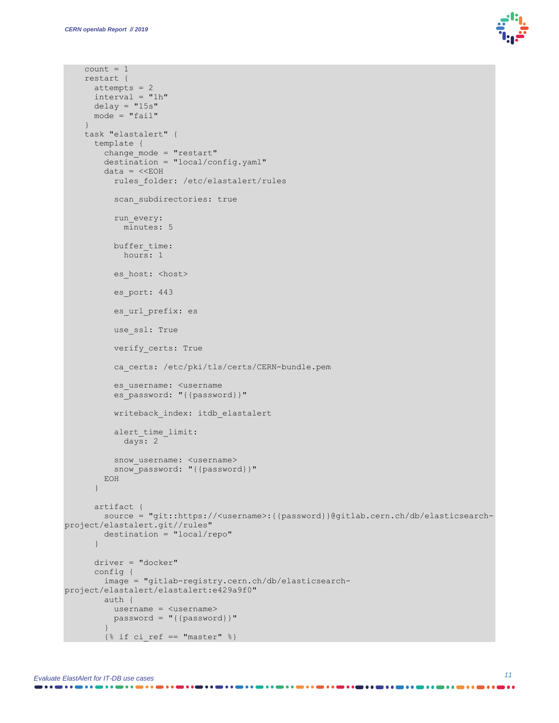$count = 1$ 



```
 restart {
      attempts = 2
       interval = "1h"
      delay = "15s"mode = "fail"\qquad \qquad \} task "elastalert" {
       template {
         change_mode = "restart"
         destination = "local/config.yaml"
        data = \ll EOHrules folder: /etc/elastalert/rules
          scan subdirectories: true
           run_every:
            minutes: 5
          buffer time:
             hours: 1
          es host: < host>
          es port: 443
          es url prefix: es
          use ssl: True
           verify_certs: True
           ca_certs: /etc/pki/tls/certs/CERN-bundle.pem
           es_username: <username
          es_password: "{{password}}"
          writeback index: itdb elastalert
           alert_time_limit:
             days: 2
          snow username: <username>
           snow_password: "{{password}}"
         EOH
       }
       artifact {
         source = "git::https://<username>:{{password}}@gitlab.cern.ch/db/elasticsearch-
project/elastalert.git//rules"
         destination = "local/repo"
       }
       driver = "docker"
       config {
         image = "gitlab-registry.cern.ch/db/elasticsearch-
project/elastalert/elastalert:e429a9f0"
         auth {
           username = <username>
           password = "{{password}}"
 }
        \{\hat{\sigma} if ci_ref == "master" \hat{\sigma}}
```
. . . . . . . . . . . . . . . . . . .

--------------------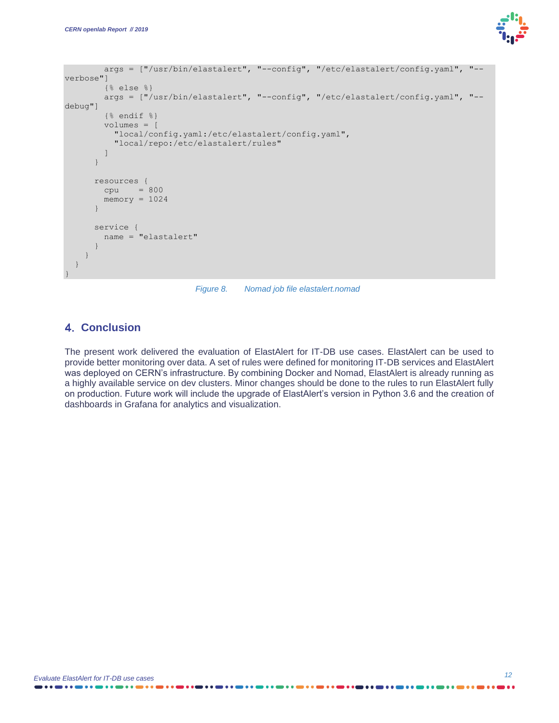

```
 args = ["/usr/bin/elastalert", "--config", "/etc/elastalert/config.yaml", "--
verbose"]
         {% else %}
         args = ["/usr/bin/elastalert", "--config", "/etc/elastalert/config.yaml", "--
debug"]
         {% endif %}
         volumes = [
           "local/config.yaml:/etc/elastalert/config.yaml",
           "local/repo:/etc/elastalert/rules"
         ]
\qquad \qquad \} resources {
         cpu = 800
        memory = 1024 }
       service {
         name = "elastalert"
 }
     }
   }
}
```
*Figure 8. Nomad job file elastalert.nomad*

## <span id="page-11-0"></span>**Conclusion**

The present work delivered the evaluation of ElastAlert for IT-DB use cases. ElastAlert can be used to provide better monitoring over data. A set of rules were defined for monitoring IT-DB services and ElastAlert was deployed on CERN's infrastructure. By combining Docker and Nomad, ElastAlert is already running as a highly available service on dev clusters. Minor changes should be done to the rules to run ElastAlert fully on production. Future work will include the upgrade of ElastAlert's version in Python 3.6 and the creation of dashboards in Grafana for analytics and visualization.

. . . **. . . . . . .** . . 4